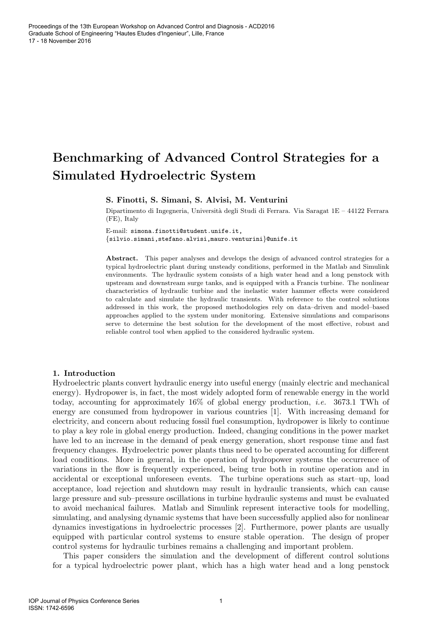# Benchmarking of Advanced Control Strategies for a Simulated Hydroelectric System

S. Finotti, S. Simani, S. Alvisi, M. Venturini

Dipartimento di Ingegneria, Università degli Studi di Ferrara. Via Saragat 1E – 44122 Ferrara (FE), Italy

E-mail: simona.finotti@student.unife.it, {silvio.simani,stefano.alvisi,mauro.venturini}@unife.it

Abstract. This paper analyses and develops the design of advanced control strategies for a typical hydroelectric plant during unsteady conditions, performed in the Matlab and Simulink environments. The hydraulic system consists of a high water head and a long penstock with upstream and downstream surge tanks, and is equipped with a Francis turbine. The nonlinear characteristics of hydraulic turbine and the inelastic water hammer effects were considered to calculate and simulate the hydraulic transients. With reference to the control solutions addressed in this work, the proposed methodologies rely on data–driven and model–based approaches applied to the system under monitoring. Extensive simulations and comparisons serve to determine the best solution for the development of the most effective, robust and reliable control tool when applied to the considered hydraulic system.

## 1. Introduction

Hydroelectric plants convert hydraulic energy into useful energy (mainly electric and mechanical energy). Hydropower is, in fact, the most widely adopted form of renewable energy in the world today, accounting for approximately  $16\%$  of global energy production, *i.e.* 3673.1 TWh of energy are consumed from hydropower in various countries [1]. With increasing demand for electricity, and concern about reducing fossil fuel consumption, hydropower is likely to continue to play a key role in global energy production. Indeed, changing conditions in the power market have led to an increase in the demand of peak energy generation, short response time and fast frequency changes. Hydroelectric power plants thus need to be operated accounting for different load conditions. More in general, in the operation of hydropower systems the occurrence of variations in the flow is frequently experienced, being true both in routine operation and in accidental or exceptional unforeseen events. The turbine operations such as start–up, load acceptance, load rejection and shutdown may result in hydraulic transients, which can cause large pressure and sub–pressure oscillations in turbine hydraulic systems and must be evaluated to avoid mechanical failures. Matlab and Simulink represent interactive tools for modelling, simulating, and analysing dynamic systems that have been successfully applied also for nonlinear dynamics investigations in hydroelectric processes [2]. Furthermore, power plants are usually equipped with particular control systems to ensure stable operation. The design of proper control systems for hydraulic turbines remains a challenging and important problem.

This paper considers the simulation and the development of different control solutions for a typical hydroelectric power plant, which has a high water head and a long penstock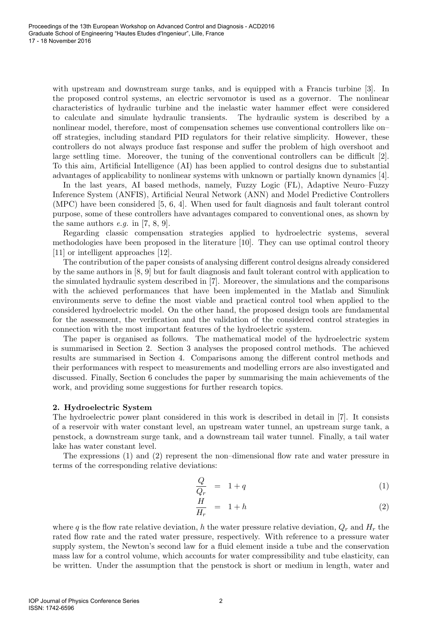with upstream and downstream surge tanks, and is equipped with a Francis turbine [3]. In the proposed control systems, an electric servomotor is used as a governor. The nonlinear characteristics of hydraulic turbine and the inelastic water hammer effect were considered to calculate and simulate hydraulic transients. The hydraulic system is described by a nonlinear model, therefore, most of compensation schemes use conventional controllers like on– off strategies, including standard PID regulators for their relative simplicity. However, these controllers do not always produce fast response and suffer the problem of high overshoot and large settling time. Moreover, the tuning of the conventional controllers can be difficult [2]. To this aim, Artificial Intelligence (AI) has been applied to control designs due to substantial advantages of applicability to nonlinear systems with unknown or partially known dynamics [4].

In the last years, AI based methods, namely, Fuzzy Logic (FL), Adaptive Neuro–Fuzzy Inference System (ANFIS), Artificial Neural Network (ANN) and Model Predictive Controllers (MPC) have been considered [5, 6, 4]. When used for fault diagnosis and fault tolerant control purpose, some of these controllers have advantages compared to conventional ones, as shown by the same authors  $e.q.$  in [7, 8, 9].

Regarding classic compensation strategies applied to hydroelectric systems, several methodologies have been proposed in the literature [10]. They can use optimal control theory [11] or intelligent approaches [12].

The contribution of the paper consists of analysing different control designs already considered by the same authors in [8, 9] but for fault diagnosis and fault tolerant control with application to the simulated hydraulic system described in [7]. Moreover, the simulations and the comparisons with the achieved performances that have been implemented in the Matlab and Simulink environments serve to define the most viable and practical control tool when applied to the considered hydroelectric model. On the other hand, the proposed design tools are fundamental for the assessment, the verification and the validation of the considered control strategies in connection with the most important features of the hydroelectric system.

The paper is organised as follows. The mathematical model of the hydroelectric system is summarised in Section 2. Section 3 analyses the proposed control methods. The achieved results are summarised in Section 4. Comparisons among the different control methods and their performances with respect to measurements and modelling errors are also investigated and discussed. Finally, Section 6 concludes the paper by summarising the main achievements of the work, and providing some suggestions for further research topics.

# 2. Hydroelectric System

The hydroelectric power plant considered in this work is described in detail in [7]. It consists of a reservoir with water constant level, an upstream water tunnel, an upstream surge tank, a penstock, a downstream surge tank, and a downstream tail water tunnel. Finally, a tail water lake has water constant level.

The expressions (1) and (2) represent the non–dimensional flow rate and water pressure in terms of the corresponding relative deviations:

$$
\frac{Q}{Q_r} = 1 + q \tag{1}
$$

$$
\frac{H}{H_r} = 1 + h \tag{2}
$$

where q is the flow rate relative deviation, h the water pressure relative deviation,  $Q_r$  and  $H_r$  the rated flow rate and the rated water pressure, respectively. With reference to a pressure water supply system, the Newton's second law for a fluid element inside a tube and the conservation mass law for a control volume, which accounts for water compressibility and tube elasticity, can be written. Under the assumption that the penstock is short or medium in length, water and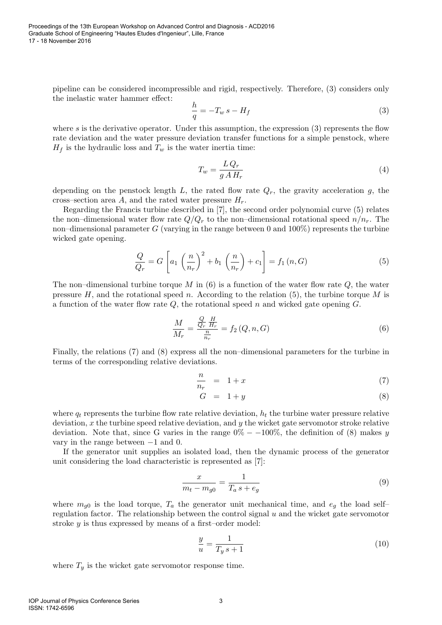pipeline can be considered incompressible and rigid, respectively. Therefore, (3) considers only the inelastic water hammer effect:

$$
\frac{h}{q} = -T_w s - H_f \tag{3}
$$

where s is the derivative operator. Under this assumption, the expression  $(3)$  represents the flow rate deviation and the water pressure deviation transfer functions for a simple penstock, where  $H_f$  is the hydraulic loss and  $T_w$  is the water inertia time:

$$
T_w = \frac{L Q_r}{g A H_r} \tag{4}
$$

depending on the penstock length L, the rated flow rate  $Q_r$ , the gravity acceleration g, the cross–section area A, and the rated water pressure  $H_r$ .

Regarding the Francis turbine described in [7], the second order polynomial curve (5) relates the non–dimensional water flow rate  $Q/Q_r$  to the non–dimensional rotational speed  $n/n_r$ . The non–dimensional parameter G (varying in the range between 0 and  $100\%$ ) represents the turbine wicked gate opening.

$$
\frac{Q}{Q_r} = G \left[ a_1 \left( \frac{n}{n_r} \right)^2 + b_1 \left( \frac{n}{n_r} \right) + c_1 \right] = f_1(n, G) \tag{5}
$$

The non–dimensional turbine torque  $M$  in (6) is a function of the water flow rate  $Q$ , the water pressure  $H$ , and the rotational speed n. According to the relation (5), the turbine torque M is a function of the water flow rate  $Q$ , the rotational speed  $n$  and wicked gate opening  $G$ .

$$
\frac{M}{M_r} = \frac{\frac{Q}{Q_r} \frac{H}{H_r}}{\frac{n}{n_r}} = f_2\left(Q, n, G\right) \tag{6}
$$

Finally, the relations (7) and (8) express all the non–dimensional parameters for the turbine in terms of the corresponding relative deviations.

$$
\frac{n}{n_r} = 1 + x \tag{7}
$$

$$
G = 1 + y \tag{8}
$$

where  $q_t$  represents the turbine flow rate relative deviation,  $h_t$  the turbine water pressure relative deviation,  $x$  the turbine speed relative deviation, and  $y$  the wicket gate servomotor stroke relative deviation. Note that, since G varies in the range  $0\% - -100\%$ , the definition of (8) makes y vary in the range between −1 and 0.

If the generator unit supplies an isolated load, then the dynamic process of the generator unit considering the load characteristic is represented as [7]:

$$
\frac{x}{m_t - m_{g0}} = \frac{1}{T_a s + e_g} \tag{9}
$$

where  $m_{q0}$  is the load torque,  $T_a$  the generator unit mechanical time, and  $e_q$  the load self– regulation factor. The relationship between the control signal  $u$  and the wicket gate servomotor stroke  $y$  is thus expressed by means of a first–order model:

$$
\frac{y}{u} = \frac{1}{T_y s + 1} \tag{10}
$$

where  $T_y$  is the wicket gate servomotor response time.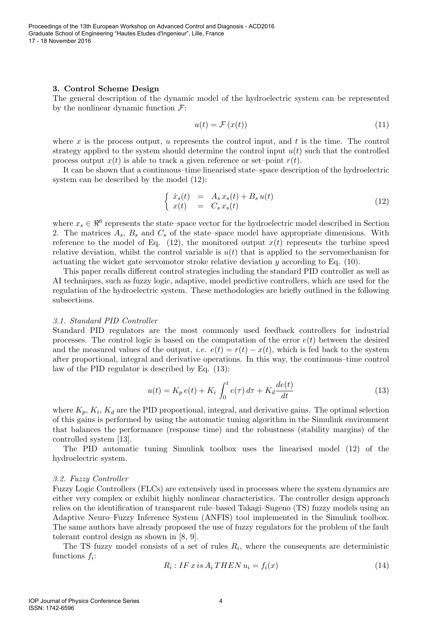## 3. Control Scheme Design

The general description of the dynamic model of the hydroelectric system can be represented by the nonlinear dynamic function  $\mathcal{F}$ :

$$
u(t) = \mathcal{F}\left(x(t)\right) \tag{11}
$$

where  $x$  is the process output,  $u$  represents the control input, and  $t$  is the time. The control strategy applied to the system should determine the control input  $u(t)$  such that the controlled process output  $x(t)$  is able to track a given reference or set–point  $r(t)$ .

It can be shown that a continuous–time linearised state–space description of the hydroelectric system can be described by the model (12):

$$
\begin{cases}\n\dot{x}_s(t) = A_s x_s(t) + B_s u(t) \\
x(t) = C_s x_s(t)\n\end{cases} \tag{12}
$$

where  $x_s \in \mathbb{R}^6$  represents the state–space vector for the hydroelectric model described in Section 2. The matrices  $A_s$ ,  $B_s$  and  $C_s$  of the state–space model have appropriate dimensions. With reference to the model of Eq.  $(12)$ , the monitored output  $x(t)$  represents the turbine speed relative deviation, whilst the control variable is  $u(t)$  that is applied to the servomechanism for actuating the wicket gate servomotor stroke relative deviation  $y$  according to Eq. (10).

This paper recalls different control strategies including the standard PID controller as well as AI techniques, such as fuzzy logic, adaptive, model predictive controllers, which are used for the regulation of the hydroelectric system. These methodologies are briefly outlined in the following subsections.

#### 3.1. Standard PID Controller

Standard PID regulators are the most commonly used feedback controllers for industrial processes. The control logic is based on the computation of the error  $e(t)$  between the desired and the measured values of the output, i.e.  $e(t) = r(t) - x(t)$ , which is fed back to the system after proportional, integral and derivative operations. In this way, the continuous–time control law of the PID regulator is described by Eq. (13):

$$
u(t) = K_p e(t) + K_i \int_0^t e(\tau) d\tau + K_d \frac{de(t)}{dt}
$$
\n(13)

where  $K_p$ ,  $K_i$ ,  $K_d$  are the PID proportional, integral, and derivative gains. The optimal selection of this gains is performed by using the automatic tuning algorithm in the Simulink environment that balances the performance (response time) and the robustness (stability margins) of the controlled system [13].

The PID automatic tuning Simulink toolbox uses the linearised model (12) of the hydroelectric system.

#### 3.2. Fuzzy Controller

Fuzzy Logic Controllers (FLCs) are extensively used in processes where the system dynamics are either very complex or exhibit highly nonlinear characteristics. The controller design approach relies on the identification of transparent rule–based Takagi–Sugeno (TS) fuzzy models using an Adaptive Neuro–Fuzzy Inference System (ANFIS) tool implemented in the Simulink toolbox. The same authors have already proposed the use of fuzzy regulators for the problem of the fault tolerant control design as shown in [8, 9].

The TS fuzzy model consists of a set of rules  $R_i$ , where the consequents are deterministic functions  $f_i$ :

$$
R_i: IF\,x\,is\,A_i\,THEN\,u_i = f_i(x) \tag{14}
$$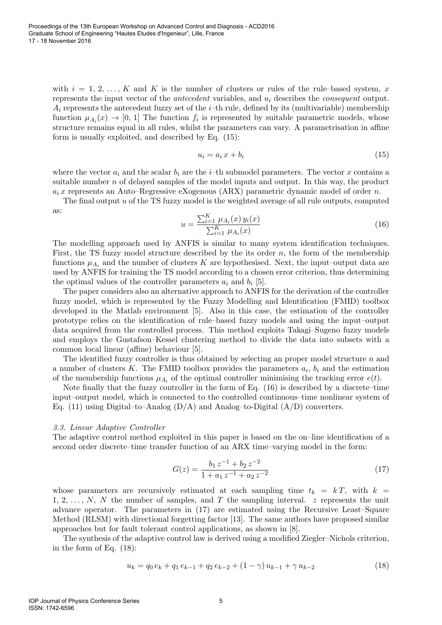with  $i = 1, 2, ..., K$  and K is the number of clusters or rules of the rule–based system, x represents the input vector of the *antecedent* variables, and  $u_i$  describes the *consequent* output.  $A_i$  represents the antecedent fuzzy set of the *i*-th rule, defined by its (multivariable) membership function  $\mu_{A_i}(x) \to [0, 1]$  The function  $f_i$  is represented by suitable parametric models, whose structure remains equal in all rules, whilst the parameters can vary. A parametrisation in affine form is usually exploited, and described by Eq. (15):

$$
u_i = a_i x + b_i \tag{15}
$$

where the vector  $a_i$  and the scalar  $b_i$  are the *i*-th submodel parameters. The vector x contains a suitable number  $n$  of delayed samples of the model inputs and output. In this way, the product  $a_i x$  represents an Auto–Regressive eXogenous (ARX) parametric dynamic model of order n.

The final output  $u$  of the TS fuzzy model is the weighted average of all rule outputs, computed as:

$$
u = \frac{\sum_{i=1}^{K} \mu_{A_i}(x) y_i(x)}{\sum_{i=1}^{K} \mu_{A_i}(x)}
$$
(16)

The modelling approach used by ANFIS is similar to many system identification techniques. First, the TS fuzzy model structure described by the its order  $n$ , the form of the membership functions  $\mu_{A_i}$  and the number of clusters K are hypothesised. Next, the input–output data are used by ANFIS for training the TS model according to a chosen error criterion, thus determining the optimal values of the controller parameters  $a_i$  and  $b_i$  [5].

The paper considers also an alternative approach to ANFIS for the derivation of the controller fuzzy model, which is represented by the Fuzzy Modelling and Identification (FMID) toolbox developed in the Matlab environment [5]. Also in this case, the estimation of the controller prototype relies on the identification of rule–based fuzzy models and using the input–output data acquired from the controlled process. This method exploits Takagi–Sugeno fuzzy models and employs the Gustafson–Kessel clustering method to divide the data into subsets with a common local linear (affine) behaviour [5].

The identified fuzzy controller is thus obtained by selecting an proper model structure  $n$  and a number of clusters K. The FMID toolbox provides the parameters  $a_i$ ,  $b_i$  and the estimation of the membership functions  $\mu_{A_i}$  of the optimal controller minimising the tracking error  $e(t)$ .

Note finally that the fuzzy controller in the form of Eq. (16) is described by a discrete–time input–output model, which is connected to the controlled continuous–time nonlinear system of Eq. (11) using Digital–to–Analog  $(D/A)$  and Analog–to-Digital  $(A/D)$  converters.

#### 3.3. Linear Adaptive Controller

The adaptive control method exploited in this paper is based on the on–line identification of a second order discrete–time transfer function of an ARX time–varying model in the form:

$$
G(z) = \frac{b_1 z^{-1} + b_2 z^{-2}}{1 + a_1 z^{-1} + a_2 z^{-2}}
$$
\n(17)

whose parameters are recursively estimated at each sampling time  $t_k = kT$ , with  $k =$  $1, 2, \ldots, N, N$  the number of samples, and T the sampling interval. z represents the unit advance operator. The parameters in (17) are estimated using the Recursive Least–Square Method (RLSM) with directional forgetting factor [13]. The same authors have proposed similar approaches but for fault tolerant control applications, as shown in [8].

The synthesis of the adaptive control law is derived using a modified Ziegler–Nichols criterion, in the form of Eq. (18):

$$
u_k = q_0 e_k + q_1 e_{k-1} + q_2 e_{k-2} + (1 - \gamma) u_{k-1} + \gamma u_{k-2}
$$
\n
$$
(18)
$$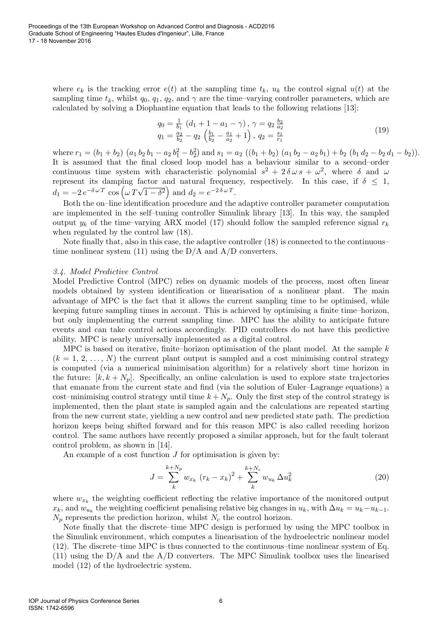where  $e_k$  is the tracking error  $e(t)$  at the sampling time  $t_k$ ,  $u_k$  the control signal  $u(t)$  at the sampling time  $t_k$ , whilst  $q_0, q_1, q_2$ , and  $\gamma$  are the time–varying controller parameters, which are calculated by solving a Diophantine equation that leads to the following relations [13]:

$$
q_0 = \frac{1}{b_1} \left( d_1 + 1 - a_1 - \gamma \right), \ \gamma = q_2 \frac{b_2}{a_2}
$$
  
\n
$$
q_1 = \frac{a_2}{b_2} - q_2 \left( \frac{b_1}{b_2} - \frac{a_1}{a_2} + 1 \right), \ q_2 = \frac{s_1}{r_1}
$$
\n(19)

where  $r_1 = (b_1 + b_2) (a_1 b_2 b_1 - a_2 b_1^2 - b_2^2)$  and  $s_1 = a_2 ((b_1 + b_2) (a_1 b_2 - a_2 b_1) + b_2 (b_1 d_2 - b_2 d_1 - b_2)).$ It is assumed that the final closed loop model has a behaviour similar to a second–order continuous time system with characteristic polynomial  $s^2 + 2 \delta \omega s + \omega^2$ , where  $\delta$  and  $\omega$ represent its damping factor and natural frequency, respectively. In this case, if  $\delta \leq 1$ , represent its damping ractor and natural frequency<br>  $d_1 = -2 e^{-\delta \omega T} \cos \left( \omega T \sqrt{1 - \delta^2} \right)$  and  $d_2 = e^{-2 \delta \omega T}$ .

Both the on–line identification procedure and the adaptive controller parameter computation are implemented in the self–tuning controller Simulink library [13]. In this way, the sampled output  $y_k$  of the time–varying ARX model (17) should follow the sampled reference signal  $r_k$ when regulated by the control law (18).

Note finally that, also in this case, the adaptive controller (18) is connected to the continuous– time nonlinear system  $(11)$  using the D/A and A/D converters.

#### 3.4. Model Predictive Control

Model Predictive Control (MPC) relies on dynamic models of the process, most often linear models obtained by system identification or linearisation of a nonlinear plant. The main advantage of MPC is the fact that it allows the current sampling time to be optimised, while keeping future sampling times in account. This is achieved by optimising a finite time–horizon, but only implementing the current sampling time. MPC has the ability to anticipate future events and can take control actions accordingly. PID controllers do not have this predictive ability. MPC is nearly universally implemented as a digital control.

MPC is based on iterative, finite–horizon optimisation of the plant model. At the sample  $k$  $(k = 1, 2, ..., N)$  the current plant output is sampled and a cost minimising control strategy is computed (via a numerical minimisation algorithm) for a relatively short time horizon in the future:  $[k, k + N_p]$ . Specifically, an online calculation is used to explore state trajectories that emanate from the current state and find (via the solution of Euler–Lagrange equations) a cost–minimising control strategy until time  $k + N_p$ . Only the first step of the control strategy is implemented, then the plant state is sampled again and the calculations are repeated starting from the new current state, yielding a new control and new predicted state path. The prediction horizon keeps being shifted forward and for this reason MPC is also called receding horizon control. The same authors have recently proposed a similar approach, but for the fault tolerant control problem, as shown in [14].

An example of a cost function  $J$  for optimisation is given by:

$$
J = \sum_{k}^{k+N_p} w_{x_k} (r_k - x_k)^2 + \sum_{k}^{k+N_c} w_{u_k} \Delta u_k^2
$$
 (20)

where  $w_{x_k}$  the weighting coefficient reflecting the relative importance of the monitored output  $x_k$ , and  $w_{u_k}$  the weighting coefficient penalising relative big changes in  $u_k$ , with  $\Delta u_k = u_k - u_{k-1}$ .  $N_p$  represents the prediction horizon, whilst  $N_c$  the control horizon.

Note finally that the discrete–time MPC design is performed by using the MPC toolbox in the Simulink environment, which computes a linearisation of the hydroelectric nonlinear model (12). The discrete–time MPC is thus connected to the continuous–time nonlinear system of Eq.  $(11)$  using the D/A and the A/D converters. The MPC Simulink toolbox uses the linearised model (12) of the hydroelectric system.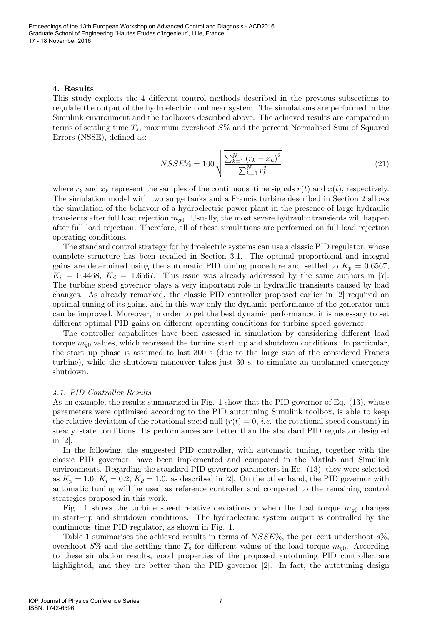## 4. Results

This study exploits the 4 different control methods described in the previous subsections to regulate the output of the hydroelectric nonlinear system. The simulations are performed in the Simulink environment and the toolboxes described above. The achieved results are compared in terms of settling time  $T_s$ , maximum overshoot  $S\%$  and the percent Normalised Sum of Squared Errors (NSSE), defined as:

$$
NSSE\% = 100 \sqrt{\frac{\sum_{k=1}^{N} (r_k - x_k)^2}{\sum_{k=1}^{N} r_k^2}}
$$
(21)

where  $r_k$  and  $x_k$  represent the samples of the continuous–time signals  $r(t)$  and  $x(t)$ , respectively. The simulation model with two surge tanks and a Francis turbine described in Section 2 allows the simulation of the behavoir of a hydroelectric power plant in the presence of large hydraulic transients after full load rejection  $m_{q0}$ . Usually, the most severe hydraulic transients will happen after full load rejection. Therefore, all of these simulations are performed on full load rejection operating conditions.

The standard control strategy for hydroelectric systems can use a classic PID regulator, whose complete structure has been recalled in Section 3.1. The optimal proportional and integral gains are determined using the automatic PID tuning procedure and settled to  $K_p = 0.6567$ ,  $K_i = 0.4468$ ,  $K_d = 1.6567$ . This issue was already addressed by the same authors in [7]. The turbine speed governor plays a very important role in hydraulic transients caused by load changes. As already remarked, the classic PID controller proposed earlier in [2] required an optimal tuning of its gains, and in this way only the dynamic performance of the generator unit can be improved. Moreover, in order to get the best dynamic performance, it is necessary to set different optimal PID gains on different operating conditions for turbine speed governor.

The controller capabilities have been assessed in simulation by considering different load torque  $m_{q0}$  values, which represent the turbine start–up and shutdown conditions. In particular, the start–up phase is assumed to last 300 s (due to the large size of the considered Francis turbine), while the shutdown maneuver takes just 30 s, to simulate an unplanned emergency shutdown.

## 4.1. PID Controller Results

As an example, the results summarised in Fig. 1 show that the PID governor of Eq. (13), whose parameters were optimised according to the PID autotuning Simulink toolbox, is able to keep the relative deviation of the rotational speed null  $(r(t) = 0, i.e.$  the rotational speed constant) in steady–state conditions. Its performances are better than the standard PID regulator designed in [2].

In the following, the suggested PID controller, with automatic tuning, together with the classic PID governor, have been implemented and compared in the Matlab and Simulink environments. Regarding the standard PID governor parameters in Eq. (13), they were selected as  $K_p = 1.0$ ,  $K_i = 0.2$ ,  $K_d = 1.0$ , as described in [2]. On the other hand, the PID governor with automatic tuning will be used as reference controller and compared to the remaining control strategies proposed in this work.

Fig. 1 shows the turbine speed relative deviations x when the load torque  $m_{q0}$  changes in start–up and shutdown conditions. The hydroelectric system output is controlled by the continuous–time PID regulator, as shown in Fig. 1.

Table 1 summarises the achieved results in terms of  $NSSE\%$ , the per–cent undershoot  $s\%$ , overshoot  $S\%$  and the settling time  $T_s$  for different values of the load torque  $m_{q0}$ . According to these simulation results, good properties of the proposed autotuning PID controller are highlighted, and they are better than the PID governor [2]. In fact, the autotuning design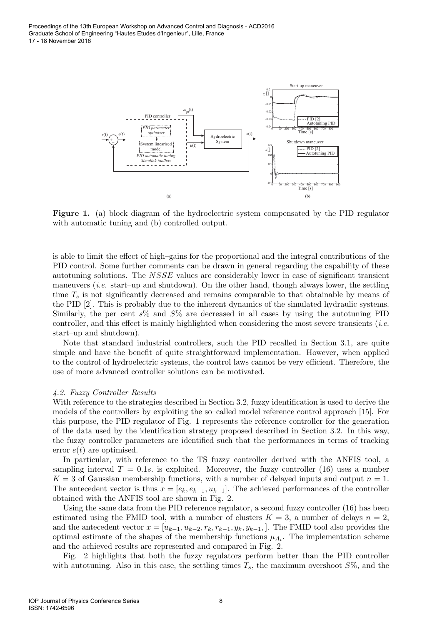

Figure 1. (a) block diagram of the hydroelectric system compensated by the PID regulator with automatic tuning and (b) controlled output.

is able to limit the effect of high–gains for the proportional and the integral contributions of the PID control. Some further comments can be drawn in general regarding the capability of these autotuning solutions. The NSSE values are considerably lower in case of significant transient maneuvers *(i.e.* start–up and shutdown). On the other hand, though always lower, the settling time  $T<sub>s</sub>$  is not significantly decreased and remains comparable to that obtainable by means of the PID [2]. This is probably due to the inherent dynamics of the simulated hydraulic systems. Similarly, the per–cent  $s\%$  and  $S\%$  are decreased in all cases by using the autotuning PID controller, and this effect is mainly highlighted when considering the most severe transients  $(i.e.$ start–up and shutdown).

Note that standard industrial controllers, such the PID recalled in Section 3.1, are quite simple and have the benefit of quite straightforward implementation. However, when applied to the control of hydroelectric systems, the control laws cannot be very efficient. Therefore, the use of more advanced controller solutions can be motivated.

## 4.2. Fuzzy Controller Results

With reference to the strategies described in Section 3.2, fuzzy identification is used to derive the models of the controllers by exploiting the so–called model reference control approach [15]. For this purpose, the PID regulator of Fig. 1 represents the reference controller for the generation of the data used by the identification strategy proposed described in Section 3.2. In this way, the fuzzy controller parameters are identified such that the performances in terms of tracking error  $e(t)$  are optimised.

In particular, with reference to the TS fuzzy controller derived with the ANFIS tool, a sampling interval  $T = 0.1s$  is exploited. Moreover, the fuzzy controller (16) uses a number  $K = 3$  of Gaussian membership functions, with a number of delayed inputs and output  $n = 1$ . The antecedent vector is thus  $x = [e_k, e_{k-1}, u_{k-1}]$ . The achieved performances of the controller obtained with the ANFIS tool are shown in Fig. 2.

Using the same data from the PID reference regulator, a second fuzzy controller (16) has been estimated using the FMID tool, with a number of clusters  $K = 3$ , a number of delays  $n = 2$ , and the antecedent vector  $x = [u_{k-1}, u_{k-2}, r_k, r_{k-1}, y_k, y_{k-1},]$ . The FMID tool also provides the optimal estimate of the shapes of the membership functions  $\mu_{A_i}$ . The implementation scheme and the achieved results are represented and compared in Fig. 2.

Fig. 2 highlights that both the fuzzy regulators perform better than the PID controller with autotuning. Also in this case, the settling times  $T_s$ , the maximum overshoot  $S\%$ , and the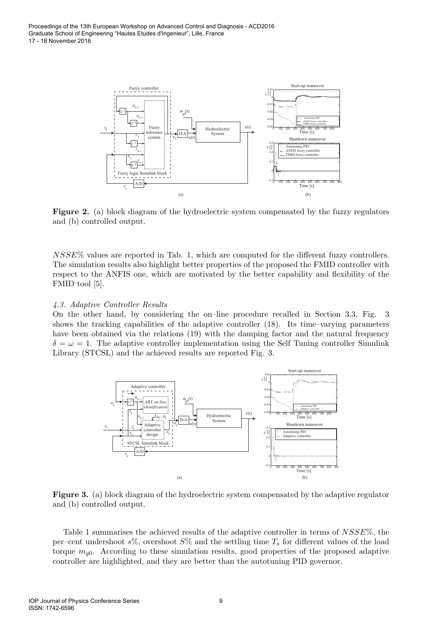

Figure 2. (a) block diagram of the hydroelectric system compensated by the fuzzy regulators and (b) controlled output.

NSSE% values are reported in Tab. 1, which are computed for the different fuzzy controllers. The simulation results also highlight better properties of the proposed the FMID controller with respect to the ANFIS one, which are motivated by the better capability and flexibility of the FMID tool [5].

## 4.3. Adaptive Controller Results

On the other hand, by considering the on–line procedure recalled in Section 3.3, Fig. 3 shows the tracking capabilities of the adaptive controller (18). Its time–varying parameters have been obtained via the relations (19) with the damping factor and the natural frequency  $\delta = \omega = 1$ . The adaptive controller implementation using the Self Tuning controller Simulink Library (STCSL) and the achieved results are reported Fig. 3.





Table 1 summarises the achieved results of the adaptive controller in terms of NSSE%, the per–cent undershoot  $s\%$ , overshoot  $S\%$  and the settling time  $T_s$  for different values of the load torque  $m_{q0}$ . According to these simulation results, good properties of the proposed adaptive controller are highlighted, and they are better than the autotuning PID governor.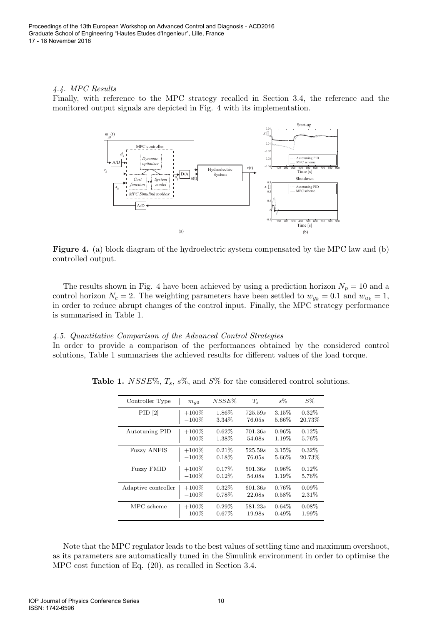## 4.4. MPC Results

Finally, with reference to the MPC strategy recalled in Section 3.4, the reference and the monitored output signals are depicted in Fig. 4 with its implementation.



Figure 4. (a) block diagram of the hydroelectric system compensated by the MPC law and (b) controlled output.

The results shown in Fig. 4 have been achieved by using a prediction horizon  $N_p = 10$  and a control horizon  $N_c = 2$ . The weighting parameters have been settled to  $w_{y_k} = 0.1$  and  $w_{u_k} = 1$ , in order to reduce abrupt changes of the control input. Finally, the MPC strategy performance is summarised in Table 1.

## 4.5. Quantitative Comparison of the Advanced Control Strategies

In order to provide a comparison of the performances obtained by the considered control solutions, Table 1 summarises the achieved results for different values of the load torque.

| Controller Type     | $m_{q0}$ | $NSSE\%$ | $T_{s}$ | $s\%$    | $S\%$    |
|---------------------|----------|----------|---------|----------|----------|
| PID [2]             | $+100\%$ | $1.86\%$ | 725.59s | $3.15\%$ | $0.32\%$ |
|                     | $-100%$  | 3.34%    | 76.05s  | $5.66\%$ | 20.73%   |
| Autotuning PID      | $+100\%$ | $0.62\%$ | 701.36s | $0.96\%$ | 0.12%    |
|                     | $-100\%$ | $1.38\%$ | 54.08s  | 1.19%    | 5.76%    |
| <b>Fuzzy ANFIS</b>  | $+100\%$ | 0.21%    | 525.59s | 3.15%    | $0.32\%$ |
|                     | $-100\%$ | 0.18%    | 76.05s  | $5.66\%$ | 20.73%   |
| <b>Fuzzy FMID</b>   | $+100\%$ | 0.17%    | 501.36s | $0.96\%$ | 0.12%    |
|                     | $-100%$  | $0.12\%$ | 54.08s  | 1.19%    | 5.76%    |
| Adaptive controller | $+100\%$ | $0.32\%$ | 601.36s | $0.76\%$ | $0.09\%$ |
|                     | $-100%$  | 0.78%    | 22.08s  | $0.58\%$ | 2.31\%   |
| MPC scheme          | $+100\%$ | $0.29\%$ | 581.23s | $0.64\%$ | $0.08\%$ |
|                     | $-100\%$ | $0.67\%$ | 19.98s  | $0.49\%$ | $1.99\%$ |

**Table 1.** NSSE%,  $T_s$ ,  $s\%$ , and  $S\%$  for the considered control solutions.

Note that the MPC regulator leads to the best values of settling time and maximum overshoot, as its parameters are automatically tuned in the Simulink environment in order to optimise the MPC cost function of Eq. (20), as recalled in Section 3.4.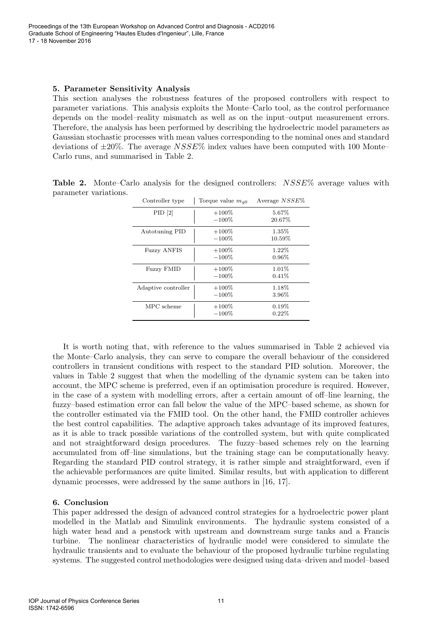# 5. Parameter Sensitivity Analysis

This section analyses the robustness features of the proposed controllers with respect to parameter variations. This analysis exploits the Monte–Carlo tool, as the control performance depends on the model–reality mismatch as well as on the input–output measurement errors. Therefore, the analysis has been performed by describing the hydroelectric model parameters as Gaussian stochastic processes with mean values corresponding to the nominal ones and standard deviations of  $\pm 20\%$ . The average NSSE% index values have been computed with 100 Monte– Carlo runs, and summarised in Table 2.

Table 2. Monte–Carlo analysis for the designed controllers: NSSE% average values with parameter variations.

| Controller type     | Torque value $m_{q0}$ | Average NSSE%   |  |
|---------------------|-----------------------|-----------------|--|
| PID $[2]$           | $+100\%$<br>$-100\%$  | 5.67%<br>20.67% |  |
|                     |                       |                 |  |
| Autotuning PID      | $+100\%$              | $1.35\%$        |  |
|                     | $-100\%$              | 10.59%          |  |
| <b>Fuzzy ANFIS</b>  | $+100\%$              | $1.22\%$        |  |
|                     | $-100\%$              | $0.96\%$        |  |
| <b>Fuzzy FMID</b>   | $+100\%$              | 1.01%           |  |
|                     | $-100\%$              | $0.41\%$        |  |
| Adaptive controller | $+100\%$              | 1.18%           |  |
|                     | $-100\%$              | 3.96%           |  |
| MPC scheme          | $+100\%$              | 0.19%           |  |
|                     | $-100\%$              | $0.22\%$        |  |

It is worth noting that, with reference to the values summarised in Table 2 achieved via the Monte–Carlo analysis, they can serve to compare the overall behaviour of the considered controllers in transient conditions with respect to the standard PID solution. Moreover, the values in Table 2 suggest that when the modelling of the dynamic system can be taken into account, the MPC scheme is preferred, even if an optimisation procedure is required. However, in the case of a system with modelling errors, after a certain amount of off–line learning, the fuzzy–based estimation error can fall below the value of the MPC–based scheme, as shown for the controller estimated via the FMID tool. On the other hand, the FMID controller achieves the best control capabilities. The adaptive approach takes advantage of its improved features, as it is able to track possible variations of the controlled system, but with quite complicated and not straightforward design procedures. The fuzzy–based schemes rely on the learning accumulated from off–line simulations, but the training stage can be computationally heavy. Regarding the standard PID control strategy, it is rather simple and straightforward, even if the achievable performances are quite limited. Similar results, but with application to different dynamic processes, were addressed by the same authors in [16, 17].

# 6. Conclusion

This paper addressed the design of advanced control strategies for a hydroelectric power plant modelled in the Matlab and Simulink environments. The hydraulic system consisted of a high water head and a penstock with upstream and downstream surge tanks and a Francis turbine. The nonlinear characteristics of hydraulic model were considered to simulate the hydraulic transients and to evaluate the behaviour of the proposed hydraulic turbine regulating systems. The suggested control methodologies were designed using data–driven and model–based